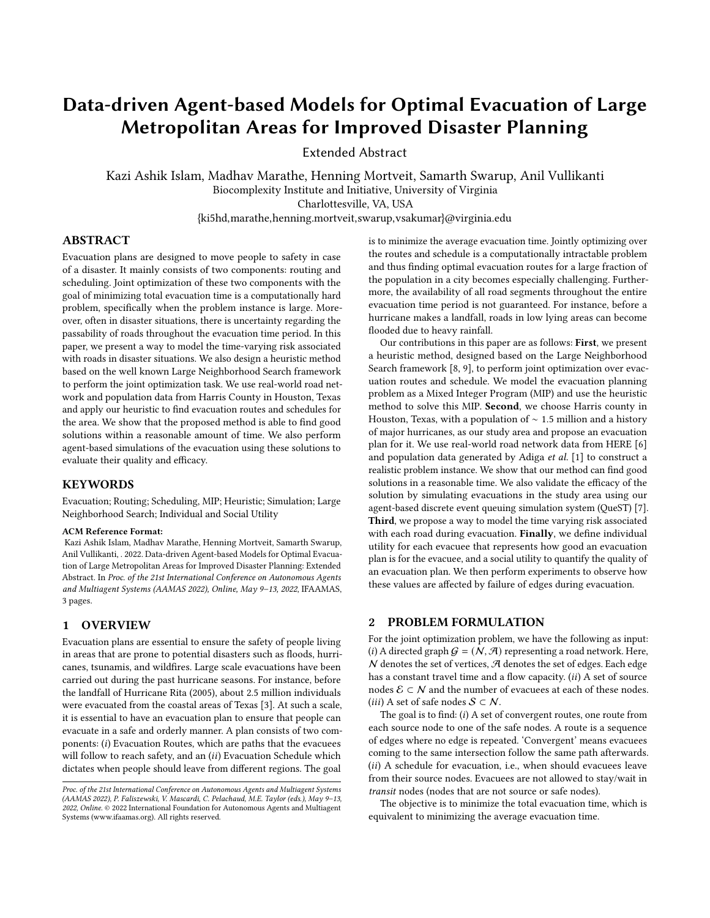# Data-driven Agent-based Models for Optimal Evacuation of Large Metropolitan Areas for Improved Disaster Planning

Extended Abstract

Kazi Ashik Islam, Madhav Marathe, Henning Mortveit, Samarth Swarup, Anil Vullikanti Biocomplexity Institute and Initiative, University of Virginia Charlottesville, VA, USA

{ki5hd,marathe,henning.mortveit,swarup,vsakumar}@virginia.edu

## ABSTRACT

Evacuation plans are designed to move people to safety in case of a disaster. It mainly consists of two components: routing and scheduling. Joint optimization of these two components with the goal of minimizing total evacuation time is a computationally hard problem, specifically when the problem instance is large. Moreover, often in disaster situations, there is uncertainty regarding the passability of roads throughout the evacuation time period. In this paper, we present a way to model the time-varying risk associated with roads in disaster situations. We also design a heuristic method based on the well known Large Neighborhood Search framework to perform the joint optimization task. We use real-world road network and population data from Harris County in Houston, Texas and apply our heuristic to find evacuation routes and schedules for the area. We show that the proposed method is able to find good solutions within a reasonable amount of time. We also perform agent-based simulations of the evacuation using these solutions to evaluate their quality and efficacy.

#### **KEYWORDS**

Evacuation; Routing; Scheduling, MIP; Heuristic; Simulation; Large Neighborhood Search; Individual and Social Utility

#### ACM Reference Format:

Kazi Ashik Islam, Madhav Marathe, Henning Mortveit, Samarth Swarup, Anil Vullikanti, . 2022. Data-driven Agent-based Models for Optimal Evacuation of Large Metropolitan Areas for Improved Disaster Planning: Extended Abstract. In Proc. of the 21st International Conference on Autonomous Agents and Multiagent Systems (AAMAS 2022), Online, May 9–13, 2022, IFAAMAS, [3](#page-2-0) pages.

## 1 OVERVIEW

Evacuation plans are essential to ensure the safety of people living in areas that are prone to potential disasters such as floods, hurricanes, tsunamis, and wildfires. Large scale evacuations have been carried out during the past hurricane seasons. For instance, before the landfall of Hurricane Rita (2005), about 2.5 million individuals were evacuated from the coastal areas of Texas [\[3\]](#page-2-1). At such a scale, it is essential to have an evacuation plan to ensure that people can evacuate in a safe and orderly manner. A plan consists of two components:  $(i)$  Evacuation Routes, which are paths that the evacuees will follow to reach safety, and an  $(ii)$  Evacuation Schedule which dictates when people should leave from different regions. The goal

is to minimize the average evacuation time. Jointly optimizing over the routes and schedule is a computationally intractable problem and thus finding optimal evacuation routes for a large fraction of the population in a city becomes especially challenging. Furthermore, the availability of all road segments throughout the entire evacuation time period is not guaranteed. For instance, before a hurricane makes a landfall, roads in low lying areas can become flooded due to heavy rainfall.

Our contributions in this paper are as follows: First, we present a heuristic method, designed based on the Large Neighborhood Search framework [\[8,](#page-2-2) [9\]](#page-2-3), to perform joint optimization over evacuation routes and schedule. We model the evacuation planning problem as a Mixed Integer Program (MIP) and use the heuristic method to solve this MIP. Second, we choose Harris county in Houston, Texas, with a population of ∼ 1.5 million and a history of major hurricanes, as our study area and propose an evacuation plan for it. We use real-world road network data from HERE [\[6\]](#page-2-4) and population data generated by Adiga et al. [\[1\]](#page-2-5) to construct a realistic problem instance. We show that our method can find good solutions in a reasonable time. We also validate the efficacy of the solution by simulating evacuations in the study area using our agent-based discrete event queuing simulation system (QueST) [\[7\]](#page-2-6). Third, we propose a way to model the time varying risk associated with each road during evacuation. Finally, we define individual utility for each evacuee that represents how good an evacuation plan is for the evacuee, and a social utility to quantify the quality of an evacuation plan. We then perform experiments to observe how these values are affected by failure of edges during evacuation.

#### 2 PROBLEM FORMULATION

For the joint optimization problem, we have the following as input: (i) A directed graph  $G = (N, \mathcal{A})$  representing a road network. Here,  $N$  denotes the set of vertices,  $R$  denotes the set of edges. Each edge has a constant travel time and a flow capacity.  $(ii)$  A set of source nodes  $\mathcal{E} \subset \mathcal{N}$  and the number of evacuees at each of these nodes. (*iii*) A set of safe nodes  $S \subset \mathcal{N}$ .

The goal is to find:  $(i)$  A set of convergent routes, one route from each source node to one of the safe nodes. A route is a sequence of edges where no edge is repeated. 'Convergent' means evacuees coming to the same intersection follow the same path afterwards.  $(ii)$  A schedule for evacuation, i.e., when should evacuees leave from their source nodes. Evacuees are not allowed to stay/wait in transit nodes (nodes that are not source or safe nodes).

The objective is to minimize the total evacuation time, which is equivalent to minimizing the average evacuation time.

Proc. of the 21st International Conference on Autonomous Agents and Multiagent Systems (AAMAS 2022), P. Faliszewski, V. Mascardi, C. Pelachaud, M.E. Taylor (eds.), May 9–13, 2022, Online. © 2022 International Foundation for Autonomous Agents and Multiagent Systems (www.ifaamas.org). All rights reserved.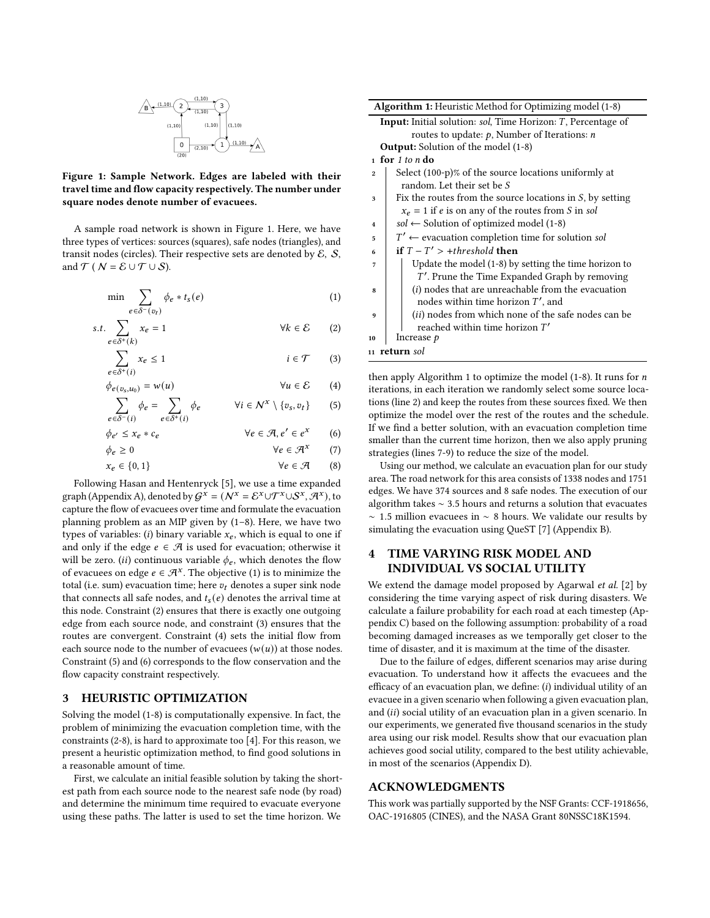<span id="page-1-0"></span>
$$
\begin{array}{c|c}\n\hline\n\mathbf{B} & (1,10) & (2) & (1,10) \\
\hline\n & (1,10) & (1,10) & (1,10) \\
 & (1,10) & (2,10) & (1,10) \\
\hline\n & (20) & (2,10) & (1) & (1,10) & \mathbf{A}\n\end{array}
$$

Figure 1: Sample Network. Edges are labeled with their travel time and flow capacity respectively. The number under square nodes denote number of evacuees.

A sample road network is shown in Figure [1.](#page-1-0) Here, we have three types of vertices: sources (squares), safe nodes (triangles), and transit nodes (circles). Their respective sets are denoted by  $\mathcal{E}, \mathcal{S},$ and  $T$  (  $N = \mathcal{E} \cup \mathcal{T} \cup \mathcal{S}$ ).

$$
\min \sum_{e \in \delta^-(v_t)} \phi_e * t_s(e) \tag{1}
$$

$$
s.t. \sum_{e \in \delta^+(k)} x_e = 1 \qquad \qquad \forall k \in \mathcal{E} \qquad (2)
$$

$$
\sum_{e \in \delta^+(i)} x_e \le 1 \qquad i \in \mathcal{T} \qquad (3)
$$

$$
\phi_{e(v_s, u_0)} = w(u) \qquad \forall u \in \mathcal{E} \qquad (4)
$$

$$
\sum_{e \in \delta^{-}(i)} \phi_e = \sum_{e \in \delta^{+}(i)} \phi_e \qquad \forall i \in \mathcal{N}^{\mathcal{X}} \setminus \{v_s, v_t\} \qquad (5)
$$

$$
\phi_{e'} \le x_e * c_e \qquad \qquad \forall e \in \mathcal{A}, e' \in e^x \qquad (6)
$$

$$
\phi_e \ge 0 \qquad \qquad \forall e \in \mathcal{A}^x \qquad (7)
$$

$$
x_e \in \{0, 1\} \qquad \forall e \in \mathcal{A} \qquad (8)
$$

Following Hasan and Hentenryck [\[5\]](#page-2-7), we use a time expanded graph (Appendix A), denoted by  $G^x = (N^x = \mathcal{E}^x \cup \mathcal{T}^x \cup \mathcal{S}^x, \mathcal{A}^x)$ , to capture the flow of evacuees over time and formulate the evacuation planning problem as an MIP given by [\(1](#page-1-1)[–8\)](#page-1-2). Here, we have two types of variables: (i) binary variable  $x_e$ , which is equal to one if and only if the edge  $e \in \mathcal{A}$  is used for evacuation; otherwise it will be zero. (ii) continuous variable  $\phi_e$ , which denotes the flow of evacuees on edge  $e \in \mathcal{A}^x$ . The objective [\(1\)](#page-1-1) is to minimize the total (i.e. sum) evacuation time; here  $v_t$  denotes a super sink node that connects all safe nodes, and  $t_s(e)$  denotes the arrival time at this node. Constraint [\(2\)](#page-1-3) ensures that there is exactly one outgoing edge from each source node, and constraint [\(3\)](#page-1-4) ensures that the routes are convergent. Constraint [\(4\)](#page-1-5) sets the initial flow from each source node to the number of evacuees  $(w(u))$  at those nodes. Constraint [\(5\)](#page-1-6) and [\(6\)](#page-1-7) corresponds to the flow conservation and the flow capacity constraint respectively.

#### 3 HEURISTIC OPTIMIZATION

Solving the model [\(1](#page-1-1)[-8\)](#page-1-2) is computationally expensive. In fact, the problem of minimizing the evacuation completion time, with the constraints [\(2](#page-1-3)[-8\)](#page-1-2), is hard to approximate too [\[4\]](#page-2-8). For this reason, we present a heuristic optimization method, to find good solutions in a reasonable amount of time.

First, we calculate an initial feasible solution by taking the shortest path from each source node to the nearest safe node (by road) and determine the minimum time required to evacuate everyone using these paths. The latter is used to set the time horizon. We

<span id="page-1-9"></span><span id="page-1-8"></span>

| <b>Algorithm 1:</b> Heuristic Method for Optimizing model (1-8)             |
|-----------------------------------------------------------------------------|
| <b>Input:</b> Initial solution: <i>sol</i> , Time Horizon: T, Percentage of |
| routes to update: $p$ , Number of Iterations: $n$                           |
| <b>Output:</b> Solution of the model (1-8)                                  |
| 1 for 1 to n do                                                             |
| Select (100-p)% of the source locations uniformly at<br>$\overline{2}$      |
| random. Let their set be S                                                  |
| Fix the routes from the source locations in $S$ , by setting<br>3           |
| $x_e = 1$ if e is on any of the routes from S in sol                        |
| $sol \leftarrow$ Solution of optimized model (1-8)<br>$\mathbf{A}$          |
| $T' \leftarrow$ evacuation completion time for solution sol<br>5            |
| if $T-T' > +threshold$ then<br>6                                            |
| Update the model (1-8) by setting the time horizon to<br>7                  |
| $T'$ . Prune the Time Expanded Graph by removing                            |
| $(i)$ nodes that are unreachable from the evacuation<br>8                   |
| nodes within time horizon $T'$ , and                                        |
| (ii) nodes from which none of the safe nodes can be<br>9                    |
| reached within time horizon $T'$                                            |
| Increase $p$<br>10                                                          |
| 11 <b>return</b> sol                                                        |
|                                                                             |

<span id="page-1-11"></span><span id="page-1-10"></span><span id="page-1-6"></span><span id="page-1-5"></span><span id="page-1-4"></span><span id="page-1-3"></span><span id="page-1-1"></span>then apply Algorithm [1](#page-1-8) to optimize the model [\(1](#page-1-1)[-8\)](#page-1-2). It runs for  $n$ iterations, in each iteration we randomly select some source locations (line [2\)](#page-1-9) and keep the routes from these sources fixed. We then optimize the model over the rest of the routes and the schedule. If we find a better solution, with an evacuation completion time smaller than the current time horizon, then we also apply pruning strategies (lines [7-](#page-1-10)[9\)](#page-1-11) to reduce the size of the model.

<span id="page-1-7"></span><span id="page-1-2"></span>Using our method, we calculate an evacuation plan for our study area. The road network for this area consists of 1338 nodes and 1751 edges. We have 374 sources and 8 safe nodes. The execution of our algorithm takes ∼ 3.5 hours and returns a solution that evacuates ∼ 1.5 million evacuees in ∼ 8 hours. We validate our results by simulating the evacuation using QueST [\[7\]](#page-2-6) (Appendix B).

# TIME VARYING RISK MODEL AND INDIVIDUAL VS SOCIAL UTILITY

We extend the damage model proposed by Agarwal et al. [\[2\]](#page-2-9) by considering the time varying aspect of risk during disasters. We calculate a failure probability for each road at each timestep (Appendix C) based on the following assumption: probability of a road becoming damaged increases as we temporally get closer to the time of disaster, and it is maximum at the time of the disaster.

Due to the failure of edges, different scenarios may arise during evacuation. To understand how it affects the evacuees and the efficacy of an evacuation plan, we define:  $(i)$  individual utility of an evacuee in a given scenario when following a given evacuation plan, and  $(ii)$  social utility of an evacuation plan in a given scenario. In our experiments, we generated five thousand scenarios in the study area using our risk model. Results show that our evacuation plan achieves good social utility, compared to the best utility achievable, in most of the scenarios (Appendix D).

#### ACKNOWLEDGMENTS

This work was partially supported by the NSF Grants: CCF-1918656, OAC-1916805 (CINES), and the NASA Grant 80NSSC18K1594.